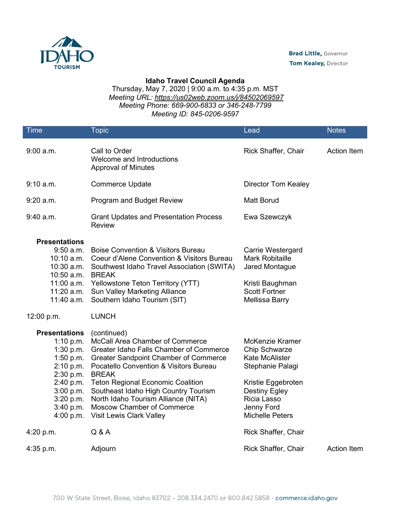

## **Idaho Travel Council Agenda**

Thursday, May 7, 2020 | 9:00 a.m. to 4:35 p.m. MST *Meeting URL:<https://us02web.zoom.us/j/84502069597> Meeting Phone: 669-900-6833 or 346-248-7799 Meeting ID: 845-0206-9597*

| <b>Time</b>                                                                                                                                              | Topic                                                                                                                                                                                                                                                                                                                                                                                                         | Lead                                                                                                                                                                                      | <b>Notes</b>       |
|----------------------------------------------------------------------------------------------------------------------------------------------------------|---------------------------------------------------------------------------------------------------------------------------------------------------------------------------------------------------------------------------------------------------------------------------------------------------------------------------------------------------------------------------------------------------------------|-------------------------------------------------------------------------------------------------------------------------------------------------------------------------------------------|--------------------|
| $9:00$ a.m.                                                                                                                                              | Call to Order<br>Welcome and Introductions<br><b>Approval of Minutes</b>                                                                                                                                                                                                                                                                                                                                      | Rick Shaffer, Chair                                                                                                                                                                       | Action Item        |
| 9:10 a.m.                                                                                                                                                | <b>Commerce Update</b>                                                                                                                                                                                                                                                                                                                                                                                        | <b>Director Tom Kealey</b>                                                                                                                                                                |                    |
| $9:20$ a.m.                                                                                                                                              | <b>Program and Budget Review</b>                                                                                                                                                                                                                                                                                                                                                                              | <b>Matt Borud</b>                                                                                                                                                                         |                    |
| $9:40$ a.m.                                                                                                                                              | <b>Grant Updates and Presentation Process</b><br><b>Review</b>                                                                                                                                                                                                                                                                                                                                                | Ewa Szewczyk                                                                                                                                                                              |                    |
| <b>Presentations</b><br>$9:50$ a.m.<br>10:10 a.m.<br>10:30 a.m.<br>10:50 a.m.<br>11:20 a.m.<br>11:40 a.m.                                                | <b>Boise Convention &amp; Visitors Bureau</b><br>Coeur d'Alene Convention & Visitors Bureau<br>Southwest Idaho Travel Association (SWITA)<br><b>BREAK</b><br>11:00 a.m. Yellowstone Teton Territory (YTT)<br><b>Sun Valley Marketing Alliance</b><br>Southern Idaho Tourism (SIT)                                                                                                                             | Carrie Westergard<br><b>Mark Robitaille</b><br>Jared Montague<br>Kristi Baughman<br><b>Scott Fortner</b><br><b>Mellissa Barry</b>                                                         |                    |
| 12:00 p.m.                                                                                                                                               | <b>LUNCH</b>                                                                                                                                                                                                                                                                                                                                                                                                  |                                                                                                                                                                                           |                    |
| <b>Presentations</b><br>1:10 p.m.<br>1:30 p.m.<br>$1:50$ p.m.<br>2:10 p.m.<br>2:30 p.m.<br>2:40 p.m.<br>3:00 p.m.<br>3:20 p.m.<br>3:40 p.m.<br>4:00 p.m. | (continued)<br>McCall Area Chamber of Commerce<br><b>Greater Idaho Falls Chamber of Commerce</b><br><b>Greater Sandpoint Chamber of Commerce</b><br>Pocatello Convention & Visitors Bureau<br><b>BREAK</b><br><b>Teton Regional Economic Coalition</b><br>Southeast Idaho High Country Tourism<br>North Idaho Tourism Alliance (NITA)<br><b>Moscow Chamber of Commerce</b><br><b>Visit Lewis Clark Valley</b> | McKenzie Kramer<br><b>Chip Schwarze</b><br><b>Kate McAlister</b><br>Stephanie Palagi<br>Kristie Eggebroten<br><b>Destiny Egley</b><br>Ricia Lasso<br>Jenny Ford<br><b>Michelle Peters</b> |                    |
| 4:20 p.m.                                                                                                                                                | Q & A                                                                                                                                                                                                                                                                                                                                                                                                         | Rick Shaffer, Chair                                                                                                                                                                       |                    |
| $4:35$ p.m.                                                                                                                                              | Adjourn                                                                                                                                                                                                                                                                                                                                                                                                       | Rick Shaffer, Chair                                                                                                                                                                       | <b>Action Item</b> |